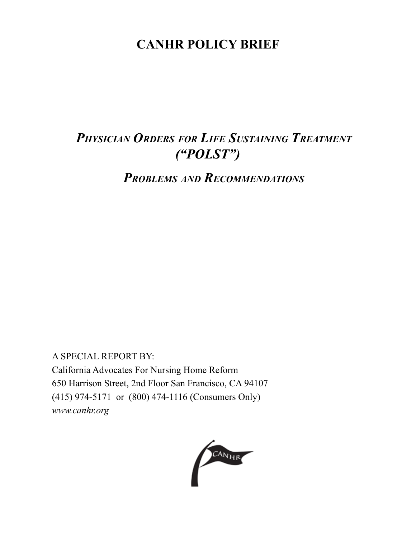# **CANHR POLICY BRIEF**

# *Physician Orders for Life Sustaining Treatment ("POLST")*

*Problems and Recommendations*

A SPECIAL REPORT BY: California Advocates For Nursing Home Reform 650 Harrison Street, 2nd Floor San Francisco, CA 94107 (415) 974-5171 or (800) 474-1116 (Consumers Only) *www.canhr.org*

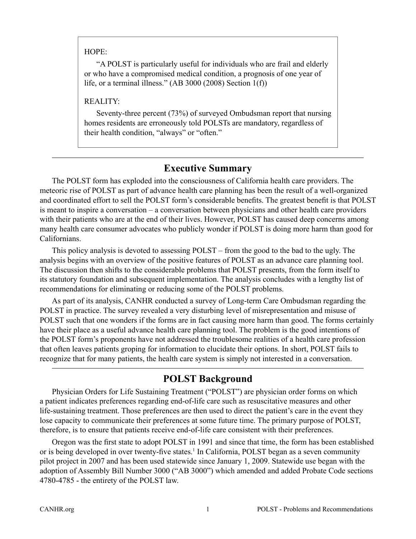#### HOPE:

"A POLST is particularly useful for individuals who are frail and elderly or who have a compromised medical condition, a prognosis of one year of life, or a terminal illness." (AB 3000 (2008) Section 1(f))

#### REALITY:

Seventy-three percent (73%) of surveyed Ombudsman report that nursing homes residents are erroneously told POLSTs are mandatory, regardless of their health condition, "always" or "often."

# **Executive Summary**

The POLST form has exploded into the consciousness of California health care providers. The meteoric rise of POLST as part of advance health care planning has been the result of a well-organized and coordinated effort to sell the POLST form's considerable benefits. The greatest benefit is that POLST is meant to inspire a conversation – a conversation between physicians and other health care providers with their patients who are at the end of their lives. However, POLST has caused deep concerns among many health care consumer advocates who publicly wonder if POLST is doing more harm than good for Californians.

This policy analysis is devoted to assessing POLST – from the good to the bad to the ugly. The analysis begins with an overview of the positive features of POLST as an advance care planning tool. The discussion then shifts to the considerable problems that POLST presents, from the form itself to its statutory foundation and subsequent implementation. The analysis concludes with a lengthy list of recommendations for eliminating or reducing some of the POLST problems.

As part of its analysis, CANHR conducted a survey of Long-term Care Ombudsman regarding the POLST in practice. The survey revealed a very disturbing level of misrepresentation and misuse of POLST such that one wonders if the forms are in fact causing more harm than good. The forms certainly have their place as a useful advance health care planning tool. The problem is the good intentions of the POLST form's proponents have not addressed the troublesome realities of a health care profession that often leaves patients groping for information to elucidate their options. In short, POLST fails to recognize that for many patients, the health care system is simply not interested in a conversation.

# **POLST Background**

Physician Orders for Life Sustaining Treatment ("POLST") are physician order forms on which a patient indicates preferences regarding end-of-life care such as resuscitative measures and other life-sustaining treatment. Those preferences are then used to direct the patient's care in the event they lose capacity to communicate their preferences at some future time. The primary purpose of POLST, therefore, is to ensure that patients receive end-of-life care consistent with their preferences.

Oregon was the first state to adopt POLST in 1991 and since that time, the form has been established or is being developed in over twenty-five states.<sup>1</sup> In California, POLST began as a seven community pilot project in 2007 and has been used statewide since January 1, 2009. Statewide use began with the adoption of Assembly Bill Number 3000 ("AB 3000") which amended and added Probate Code sections 4780-4785 - the entirety of the POLST law.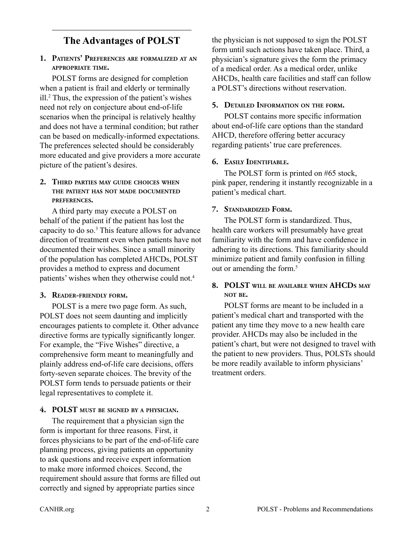# **The Advantages of POLST**

#### **1. Patients' Preferences are formalized at an appropriate time.**

POLST forms are designed for completion when a patient is frail and elderly or terminally ill.2 Thus, the expression of the patient's wishes need not rely on conjecture about end-of-life scenarios when the principal is relatively healthy and does not have a terminal condition; but rather can be based on medically-informed expectations. The preferences selected should be considerably more educated and give providers a more accurate picture of the patient's desires.

#### **2. Third parties may guide choices when the patient has not made documented preferences.**

A third party may execute a POLST on behalf of the patient if the patient has lost the capacity to do so.3 This feature allows for advance direction of treatment even when patients have not documented their wishes. Since a small minority of the population has completed AHCDs, POLST provides a method to express and document patients' wishes when they otherwise could not.4

### **3. Reader-friendly form.**

POLST is a mere two page form. As such, POLST does not seem daunting and implicitly encourages patients to complete it. Other advance directive forms are typically significantly longer. For example, the "Five Wishes" directive, a comprehensive form meant to meaningfully and plainly address end-of-life care decisions, offers forty-seven separate choices. The brevity of the POLST form tends to persuade patients or their legal representatives to complete it.

# **4. POLST must be signed by <sup>a</sup> physician.**

The requirement that a physician sign the form is important for three reasons. First, it forces physicians to be part of the end-of-life care planning process, giving patients an opportunity to ask questions and receive expert information to make more informed choices. Second, the requirement should assure that forms are filled out correctly and signed by appropriate parties since

the physician is not supposed to sign the POLST form until such actions have taken place. Third, a physician's signature gives the form the primacy of a medical order. As a medical order, unlike AHCDs, health care facilities and staff can follow a POLST's directions without reservation.

# **5. Detailed Information on the form.**

POLST contains more specific information about end-of-life care options than the standard AHCD, therefore offering better accuracy regarding patients' true care preferences.

# **6. Easily Identifiable.**

The POLST form is printed on #65 stock, pink paper, rendering it instantly recognizable in a patient's medical chart.

# **7. Standardized Form.**

The POLST form is standardized. Thus, health care workers will presumably have great familiarity with the form and have confidence in adhering to its directions. This familiarity should minimize patient and family confusion in filling out or amending the form.<sup>5</sup>

#### **8. POLST will be available when AHCDs may not be.**

POLST forms are meant to be included in a patient's medical chart and transported with the patient any time they move to a new health care provider. AHCDs may also be included in the patient's chart, but were not designed to travel with the patient to new providers. Thus, POLSTs should be more readily available to inform physicians' treatment orders.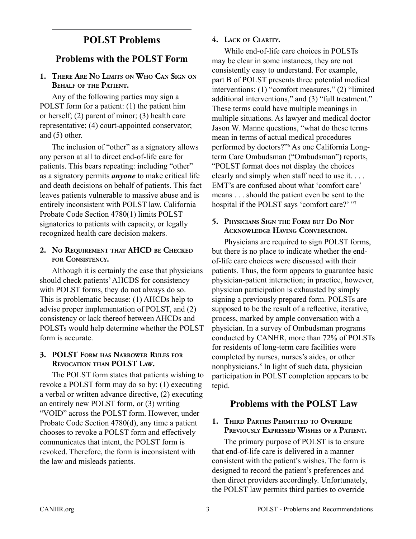# **POLST Problems**

### **Problems with the POLST Form**

#### **1. There Are No Limits on Who Can Sign on Behalf of the Patient.**

Any of the following parties may sign a POLST form for a patient: (1) the patient him or herself; (2) parent of minor; (3) health care representative; (4) court-appointed conservator; and (5) other.

The inclusion of "other" as a signatory allows any person at all to direct end-of-life care for patients. This bears repeating: including "other" as a signatory permits *anyone* to make critical life and death decisions on behalf of patients. This fact leaves patients vulnerable to massive abuse and is entirely inconsistent with POLST law. California Probate Code Section 4780(1) limits POLST signatories to patients with capacity, or legally recognized health care decision makers.

#### **2. No Requirement that AHCD be Checked for Consistency.**

Although it is certainly the case that physicians should check patients' AHCDS for consistency with POLST forms, they do not always do so. This is problematic because: (1) AHCDs help to advise proper implementation of POLST, and (2) consistency or lack thereof between AHCDs and POLSTs would help determine whether the POLST form is accurate.

#### **3. POLST Form has Narrower Rules for Revocation than POLST Law.**

The POLST form states that patients wishing to revoke a POLST form may do so by: (1) executing a verbal or written advance directive, (2) executing an entirely new POLST form, or (3) writing "VOID" across the POLST form. However, under Probate Code Section 4780(d), any time a patient chooses to revoke a POLST form and effectively communicates that intent, the POLST form is revoked. Therefore, the form is inconsistent with the law and misleads patients.

#### **4. Lack of Clarity.**

While end-of-life care choices in POLSTs may be clear in some instances, they are not consistently easy to understand. For example, part B of POLST presents three potential medical interventions: (1) "comfort measures," (2) "limited additional interventions," and (3) "full treatment." These terms could have multiple meanings in multiple situations. As lawyer and medical doctor Jason W. Manne questions, "what do these terms mean in terms of actual medical procedures performed by doctors?"6 As one California Longterm Care Ombudsman ("Ombudsman") reports, "POLST format does not display the choices clearly and simply when staff need to use it. . . . EMT's are confused about what 'comfort care' means . . . should the patient even be sent to the hospital if the POLST says 'comfort care?' "7

#### **5. Physicians Sign the Form but Do Not Acknowledge Having Conversation.**

Physicians are required to sign POLST forms, but there is no place to indicate whether the endof-life care choices were discussed with their patients. Thus, the form appears to guarantee basic physician-patient interaction; in practice, however, physician participation is exhausted by simply signing a previously prepared form. POLSTs are supposed to be the result of a reflective, iterative, process, marked by ample conversation with a physician. In a survey of Ombudsman programs conducted by CANHR, more than 72% of POLSTs for residents of long-term care facilities were completed by nurses, nurses's aides, or other nonphysicians.8 In light of such data, physician participation in POLST completion appears to be tepid.

#### **Problems with the POLST Law**

#### **1. Third Parties Permitted to Override Previously Expressed Wishes of a Patient.**

The primary purpose of POLST is to ensure that end-of-life care is delivered in a manner consistent with the patient's wishes. The form is designed to record the patient's preferences and then direct providers accordingly. Unfortunately, the POLST law permits third parties to override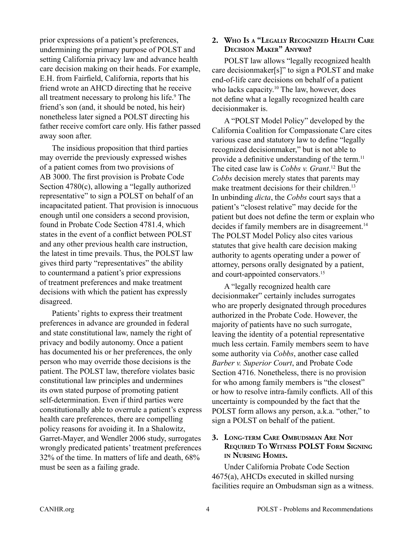prior expressions of a patient's preferences, undermining the primary purpose of POLST and setting California privacy law and advance health care decision making on their heads. For example, E.H. from Fairfield, California, reports that his friend wrote an AHCD directing that he receive all treatment necessary to prolong his life.<sup>9</sup> The friend's son (and, it should be noted, his heir) nonetheless later signed a POLST directing his father receive comfort care only. His father passed away soon after.

The insidious proposition that third parties may override the previously expressed wishes of a patient comes from two provisions of AB 3000. The first provision is Probate Code Section 4780(c), allowing a "legally authorized representative" to sign a POLST on behalf of an incapacitated patient. That provision is innocuous enough until one considers a second provision, found in Probate Code Section 4781.4, which states in the event of a conflict between POLST and any other previous health care instruction, the latest in time prevails. Thus, the POLST law gives third party "representatives" the ability to countermand a patient's prior expressions of treatment preferences and make treatment decisions with which the patient has expressly disagreed.

Patients' rights to express their treatment preferences in advance are grounded in federal and state constitutional law, namely the right of privacy and bodily autonomy. Once a patient has documented his or her preferences, the only person who may override those decisions is the patient. The POLST law, therefore violates basic constitutional law principles and undermines its own stated purpose of promoting patient self-determination. Even if third parties were constitutionally able to overrule a patient's express health care preferences, there are compelling policy reasons for avoiding it. In a Shalowitz, Garret-Mayer, and Wendler 2006 study, surrogates wrongly predicated patients' treatment preferences 32% of the time. In matters of life and death, 68% must be seen as a failing grade.

#### **2. Who Is a "Legally Recognized Health Care Decision Maker" Anyway?**

POLST law allows "legally recognized health care decisionmaker[s]" to sign a POLST and make end-of-life care decisions on behalf of a patient who lacks capacity.<sup>10</sup> The law, however, does not define what a legally recognized health care decisionmaker is.

A "POLST Model Policy" developed by the California Coalition for Compassionate Care cites various case and statutory law to define "legally recognized decisionmaker," but is not able to provide a definitive understanding of the term.<sup>11</sup> The cited case law is *Cobbs v. Grant*. 12 But the *Cobbs* decision merely states that parents may make treatment decisions for their children.<sup>13</sup> In unbinding *dicta*, the *Cobbs* court says that a patient's "closest relative" may decide for the patient but does not define the term or explain who decides if family members are in disagreement.<sup>14</sup> The POLST Model Policy also cites various statutes that give health care decision making authority to agents operating under a power of attorney, persons orally designated by a patient, and court-appointed conservators.15

A "legally recognized health care decisionmaker" certainly includes surrogates who are properly designated through procedures authorized in the Probate Code. However, the majority of patients have no such surrogate, leaving the identity of a potential representative much less certain. Family members seem to have some authority via *Cobbs*, another case called *Barber v. Superior Court*, and Probate Code Section 4716. Nonetheless, there is no provision for who among family members is "the closest" or how to resolve intra-family conflicts. All of this uncertainty is compounded by the fact that the POLST form allows any person, a.k.a. "other," to sign a POLST on behalf of the patient.

#### **3. Long-term Care Ombudsman Are Not Required To Witness POLST Form Signing in Nursing Homes.**

Under California Probate Code Section 4675(a), AHCDs executed in skilled nursing facilities require an Ombudsman sign as a witness.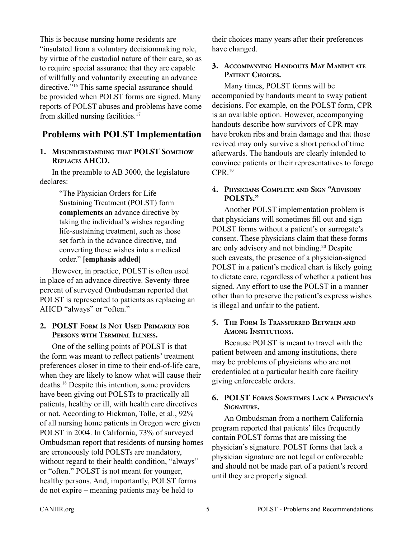This is because nursing home residents are "insulated from a voluntary decisionmaking role, by virtue of the custodial nature of their care, so as to require special assurance that they are capable of willfully and voluntarily executing an advance directive."16 This same special assurance should be provided when POLST forms are signed. Many reports of POLST abuses and problems have come from skilled nursing facilities.17

# **Problems with POLST Implementation**

#### **1. Misunderstanding that POLST Somehow Replaces AHCD.**

In the preamble to AB 3000, the legislature declares:

> "The Physician Orders for Life Sustaining Treatment (POLST) form **complements** an advance directive by taking the individual's wishes regarding life-sustaining treatment, such as those set forth in the advance directive, and converting those wishes into a medical order." **[emphasis added]**

However, in practice, POLST is often used in place of an advance directive. Seventy-three percent of surveyed Ombudsman reported that POLST is represented to patients as replacing an AHCD "always" or "often."

#### **2. POLST Form Is Not Used Primarily for Persons with Terminal Illness.**

One of the selling points of POLST is that the form was meant to reflect patients' treatment preferences closer in time to their end-of-life care, when they are likely to know what will cause their deaths.18 Despite this intention, some providers have been giving out POLSTs to practically all patients, healthy or ill, with health care directives or not. According to Hickman, Tolle, et al., 92% of all nursing home patients in Oregon were given POLST in 2004. In California, 73% of surveyed Ombudsman report that residents of nursing homes are erroneously told POLSTs are mandatory, without regard to their health condition, "always" or "often." POLST is not meant for younger, healthy persons. And, importantly, POLST forms do not expire – meaning patients may be held to

their choices many years after their preferences have changed.

#### **3. Accompanying Handouts May Manipulate** PATIENT **CHOICES.**

Many times, POLST forms will be accompanied by handouts meant to sway patient decisions. For example, on the POLST form, CPR is an available option. However, accompanying handouts describe how survivors of CPR may have broken ribs and brain damage and that those revived may only survive a short period of time afterwards. The handouts are clearly intended to convince patients or their representatives to forego CPR.19

#### **4. Physicians Complete and Sign "Advisory POLSTs."**

Another POLST implementation problem is that physicians will sometimes fill out and sign POLST forms without a patient's or surrogate's consent. These physicians claim that these forms are only advisory and not binding.20 Despite such caveats, the presence of a physician-signed POLST in a patient's medical chart is likely going to dictate care, regardless of whether a patient has signed. Any effort to use the POLST in a manner other than to preserve the patient's express wishes is illegal and unfair to the patient.

#### **5. The Form Is Transferred Between and Among Institutions.**

Because POLST is meant to travel with the patient between and among institutions, there may be problems of physicians who are not credentialed at a particular health care facility giving enforceable orders.

#### **6. POLST Forms Sometimes Lack a Physician's Signature.**

An Ombudsman from a northern California program reported that patients' files frequently contain POLST forms that are missing the physician's signature. POLST forms that lack a physician signature are not legal or enforceable and should not be made part of a patient's record until they are properly signed.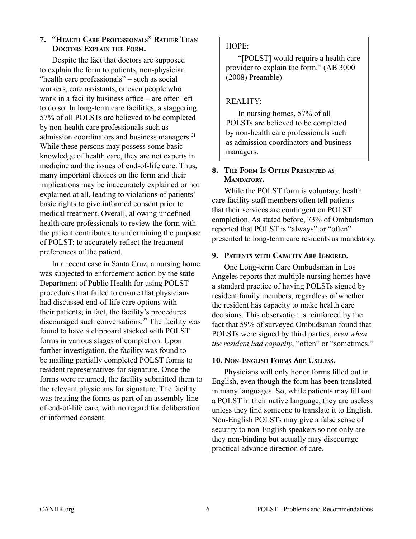#### **7. "Health Care Professionals" Rather Than Doctors Explain the Form.**

Despite the fact that doctors are supposed to explain the form to patients, non-physician "health care professionals" – such as social workers, care assistants, or even people who work in a facility business office – are often left to do so. In long-term care facilities, a staggering 57% of all POLSTs are believed to be completed by non-health care professionals such as admission coordinators and business managers.21 While these persons may possess some basic knowledge of health care, they are not experts in medicine and the issues of end-of-life care. Thus, many important choices on the form and their implications may be inaccurately explained or not explained at all, leading to violations of patients' basic rights to give informed consent prior to medical treatment. Overall, allowing undefined health care professionals to review the form with the patient contributes to undermining the purpose of POLST: to accurately reflect the treatment preferences of the patient.

In a recent case in Santa Cruz, a nursing home was subjected to enforcement action by the state Department of Public Health for using POLST procedures that failed to ensure that physicians had discussed end-of-life care options with their patients; in fact, the facility's procedures discouraged such conversations.22 The facility was found to have a clipboard stacked with POLST forms in various stages of completion. Upon further investigation, the facility was found to be mailing partially completed POLST forms to resident representatives for signature. Once the forms were returned, the facility submitted them to the relevant physicians for signature. The facility was treating the forms as part of an assembly-line of end-of-life care, with no regard for deliberation or informed consent.

#### HOPE:

"[POLST] would require a health care provider to explain the form." (AB 3000 (2008) Preamble)

### REALITY:

In nursing homes, 57% of all POLSTs are believed to be completed by non-health care professionals such as admission coordinators and business managers.

#### **8. The Form Is Often Presented as** MANDATORY.

While the POLST form is voluntary, health care facility staff members often tell patients that their services are contingent on POLST completion. As stated before, 73% of Ombudsman reported that POLST is "always" or "often" presented to long-term care residents as mandatory.

#### **9. Patients with Capacity Are Ignored***.*

One Long-term Care Ombudsman in Los Angeles reports that multiple nursing homes have a standard practice of having POLSTs signed by resident family members, regardless of whether the resident has capacity to make health care decisions. This observation is reinforced by the fact that 59% of surveyed Ombudsman found that POLSTs were signed by third parties, *even when the resident had capacity*, "often" or "sometimes."

#### **10. Non-English Forms Are Useless.**

Physicians will only honor forms filled out in English, even though the form has been translated in many languages. So, while patients may fill out a POLST in their native language, they are useless unless they find someone to translate it to English. Non-English POLSTs may give a false sense of security to non-English speakers so not only are they non-binding but actually may discourage practical advance direction of care.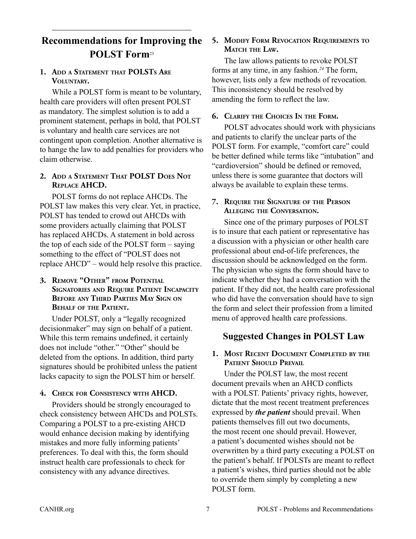# **Recommendations for Improving the POLST Form**<sup>23</sup>

#### **1. Add <sup>a</sup> Statement that POLSTs Are Voluntary.**

While a POLST form is meant to be voluntary, health care providers will often present POLST as mandatory. The simplest solution is to add a prominent statement, perhaps in bold, that POLST is voluntary and health care services are not contingent upon completion. Another alternative is to hange the law to add penalties for providers who claim otherwise.

#### **2. Add <sup>a</sup> Statement That POLST Does Not Replace AHCD.**

POLST forms do not replace AHCDs. The POLST law makes this very clear. Yet, in practice, POLST has tended to crowd out AHCDs with some providers actually claiming that POLST has replaced AHCDs. A statement in bold across the top of each side of the POLST form – saying something to the effect of "POLST does not replace AHCD" – would help resolve this practice.

#### **3. Remove "Other" from Potential Signatories and Require Patient Incapacity Before any Third Parties May Sign on Behalf of the Patient.**

Under POLST, only a "legally recognized decisionmaker" may sign on behalf of a patient. While this term remains undefined, it certainly does not include "other." "Other" should be deleted from the options. In addition, third party signatures should be prohibited unless the patient lacks capacity to sign the POLST him or herself.

#### **4. Check for Consistency with AHCD.**

Providers should be strongly encouraged to check consistency between AHCDs and POLSTs. Comparing a POLST to a pre-existing AHCD would enhance decision making by identifying mistakes and more fully informing patients' preferences. To deal with this, the form should instruct health care professionals to check for consistency with any advance directives.

#### **5. Modify Form Revocation Requirements to Match the Law.**

The law allows patients to revoke POLST forms at any time, in any fashion.*<sup>24</sup>* The form, however, lists only a few methods of revocation. This inconsistency should be resolved by amending the form to reflect the law.

#### **6. Clarify the Choices In the Form.**

POLST advocates should work with physicians and patients to clarify the unclear parts of the POLST form. For example, "comfort care" could be better defined while terms like "intubation" and "cardioversion" should be defined or removed, unless there is some guarantee that doctors will always be available to explain these terms.

#### **7. Require the Signature of the Person Alleging the Conversation.**

Since one of the primary purposes of POLST is to insure that each patient or representative has a discussion with a physician or other health care professional about end-of-life preferences, the discussion should be acknowledged on the form. The physician who signs the form should have to indicate whether they had a conversation with the patient. If they did not, the health care professional who did have the conversation should have to sign the form and select their profession from a limited menu of approved health care professions.

# **Suggested Changes in POLST Law**

#### **1. Most Recent Document Completed by the Patient Should Prevail**

Under the POLST law, the most recent document prevails when an AHCD conflicts with a POLST. Patients' privacy rights, however, dictate that the most recent treatment preferences expressed by *the patient* should prevail. When patients themselves fill out two documents, the most recent one should prevail. However, a patient's documented wishes should not be overwritten by a third party executing a POLST on the patient's behalf. If POLSTs are meant to reflect a patient's wishes, third parties should not be able to override them simply by completing a new POLST form.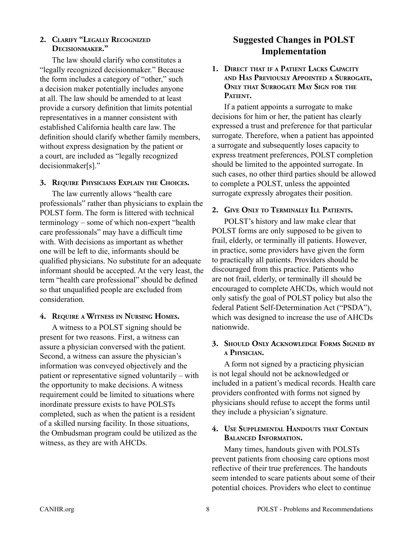#### **2. Clarify "Legally Recognized Decisionmaker."**

The law should clarify who constitutes a "legally recognized decisionmaker." Because the form includes a category of "other," such a decision maker potentially includes anyone at all. The law should be amended to at least provide a cursory definition that limits potential representatives in a manner consistent with established California health care law. The definition should clarify whether family members, without express designation by the patient or a court, are included as "legally recognized decisionmaker[s]."

#### **3. Require Physicians Explain the Choices.**

The law currently allows "health care professionals" rather than physicians to explain the POLST form. The form is littered with technical terminology – some of which non-expert "health care professionals" may have a difficult time with. With decisions as important as whether one will be left to die, informants should be qualified physicians. No substitute for an adequate informant should be accepted. At the very least, the term "health care professional" should be defined so that unqualified people are excluded from consideration.

#### **4. Require <sup>a</sup> Witness in Nursing Homes.**

A witness to a POLST signing should be present for two reasons. First, a witness can assure a physician conversed with the patient. Second, a witness can assure the physician's information was conveyed objectively and the patient or representative signed voluntarily – with the opportunity to make decisions. A witness requirement could be limited to situations where inordinate pressure exists to have POLSTs completed, such as when the patient is a resident of a skilled nursing facility. In those situations, the Ombudsman program could be utilized as the witness, as they are with AHCDs.

# **Suggested Changes in POLST Implementation**

**1. Direct that if a Patient Lacks Capacity and Has Previously Appointed <sup>a</sup> Surrogate, Only that Surrogate May Sign for the** PATIENT.

If a patient appoints a surrogate to make decisions for him or her, the patient has clearly expressed a trust and preference for that particular surrogate. Therefore, when a patient has appointed a surrogate and subsequently loses capacity to express treatment preferences, POLST completion should be limited to the appointed surrogate. In such cases, no other third parties should be allowed to complete a POLST, unless the appointed surrogate expressly abrogates their position.

# **2. Give Only to Terminally Ill Patients.**

POLST's history and law make clear that POLST forms are only supposed to be given to frail, elderly, or terminally ill patients. However, in practice, some providers have given the form to practically all patients. Providers should be discouraged from this practice. Patients who are not frail, elderly, or terminally ill should be encouraged to complete AHCDs, which would not only satisfy the goal of POLST policy but also the federal Patient Self-Determination Act ("PSDA"), which was designed to increase the use of AHCDs nationwide.

#### **3. Should Only Acknowledge Forms Signed by a Physician.**

A form not signed by a practicing physician is not legal should not be acknowledged or included in a patient's medical records. Health care providers confronted with forms not signed by physicians should refuse to accept the forms until they include a physician's signature.

#### **4. Use Supplemental Handouts that Contain Balanced Information.**

Many times, handouts given with POLSTs prevent patients from choosing care options most reflective of their true preferences. The handouts seem intended to scare patients about some of their potential choices. Providers who elect to continue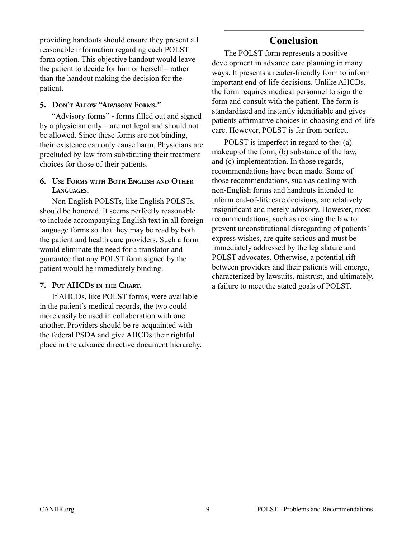providing handouts should ensure they present all reasonable information regarding each POLST form option. This objective handout would leave the patient to decide for him or herself – rather than the handout making the decision for the patient.

#### **5. Don't Allow "Advisory Forms."**

"Advisory forms" - forms filled out and signed by a physician only – are not legal and should not be allowed. Since these forms are not binding, their existence can only cause harm. Physicians are precluded by law from substituting their treatment choices for those of their patients.

#### **6. Use Forms with Both English and Other Languages.**

Non-English POLSTs, like English POLSTs, should be honored. It seems perfectly reasonable to include accompanying English text in all foreign language forms so that they may be read by both the patient and health care providers. Such a form would eliminate the need for a translator and guarantee that any POLST form signed by the patient would be immediately binding.

#### **7. Put AHCDs in the Chart.**

If AHCDs, like POLST forms, were available in the patient's medical records, the two could more easily be used in collaboration with one another. Providers should be re-acquainted with the federal PSDA and give AHCDs their rightful place in the advance directive document hierarchy.

# **Conclusion**

The POLST form represents a positive development in advance care planning in many ways. It presents a reader-friendly form to inform important end-of-life decisions. Unlike AHCDs, the form requires medical personnel to sign the form and consult with the patient. The form is standardized and instantly identifiable and gives patients affirmative choices in choosing end-of-life care. However, POLST is far from perfect.

POLST is imperfect in regard to the: (a) makeup of the form, (b) substance of the law, and (c) implementation. In those regards, recommendations have been made. Some of those recommendations, such as dealing with non-English forms and handouts intended to inform end-of-life care decisions, are relatively insignificant and merely advisory. However, most recommendations, such as revising the law to prevent unconstitutional disregarding of patients' express wishes, are quite serious and must be immediately addressed by the legislature and POLST advocates. Otherwise, a potential rift between providers and their patients will emerge, characterized by lawsuits, mistrust, and ultimately, a failure to meet the stated goals of POLST.